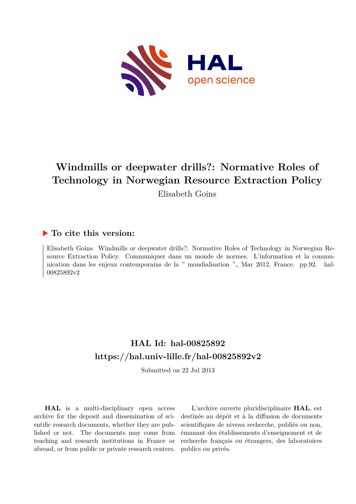

# **Windmills or deepwater drills?: Normative Roles of Technology in Norwegian Resource Extraction Policy**

Elisabeth Goins

### **To cite this version:**

Elisabeth Goins. Windmills or deepwater drills?: Normative Roles of Technology in Norwegian Resource Extraction Policy. Communiquer dans un monde de normes. L'information et la communication dans les enjeux contemporains de la " mondialisation "., Mar 2012, France. pp.92. hal-00825892v2

## **HAL Id: hal-00825892 <https://hal.univ-lille.fr/hal-00825892v2>**

Submitted on 22 Jul 2013

**HAL** is a multi-disciplinary open access archive for the deposit and dissemination of scientific research documents, whether they are published or not. The documents may come from teaching and research institutions in France or abroad, or from public or private research centers.

L'archive ouverte pluridisciplinaire **HAL**, est destinée au dépôt et à la diffusion de documents scientifiques de niveau recherche, publiés ou non, émanant des établissements d'enseignement et de recherche français ou étrangers, des laboratoires publics ou privés.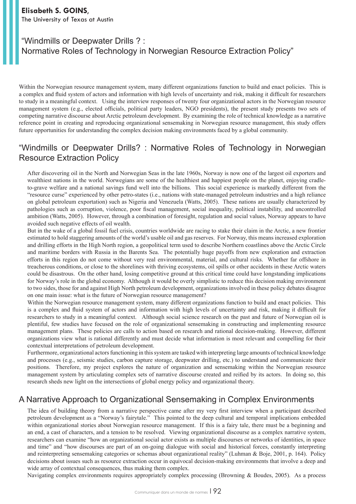#### **Elisabeth S. GOINS**, The University of Texas at Austin

## "Windmills or Deepwater Drills ? : Normative Roles of Technology in Norwegian Resource Extraction Policy"

Within the Norwegian resource management system, many different organizations function to build and enact policies. This is a complex and fluid system of actors and information with high levels of uncertainty and risk, making it difficult for researchers to study in a meaningful context. Using the interview responses of twenty four organizational actors in the Norwegian resource management system (e.g., elected officials, political party leaders, NGO presidents), the present study presents two sets of competing narrative discourse about Arctic petroleum development. By examining the role of technical knowledge as a narrative reference point in creating and reproducing organizational sensemaking in Norwegian resource management, this study offers future opportunities for understanding the complex decision making environments faced by a global community.

## "Windmills or Deepwater Drills? : Normative Roles of Technology in Norwegian Resource Extraction Policy

After discovering oil in the North and Norwegian Seas in the late 1960s, Norway is now one of the largest oil exporters and wealthiest nations in the world. Norwegians are some of the healthiest and happiest people on the planet, enjoying cradleto-grave welfare and a national savings fund well into the billions. This social experience is markedly different from the "resource curse" experienced by other petro-states (i.e., nations with state-managed petroleum industries and a high reliance on global petroleum exportation) such as Nigeria and Venezuela (Watts, 2005). These nations are usually characterized by pathologies such as corruption, violence, poor fiscal management, social inequality, political instability, and uncontrolled ambition (Watts, 2005). However, through a combination of foresight, regulation and social values, Norway appears to have avoided such negative effects of oil wealth.

But in the wake of a global fossil fuel crisis, countries worldwide are racing to stake their claim in the Arctic, a new frontier estimated to hold staggering amounts of the world's usable oil and gas reserves. For Norway, this means increased exploration and drilling efforts in the High North region, a geopolitical term used to describe Northern coastlines above the Arctic Circle and maritime borders with Russia in the Barents Sea. The potentially huge payoffs from new exploration and extraction efforts in this region do not come without very real environmental, material, and cultural risks. Whether far offshore in treacherous conditions, or close to the shorelines with thriving ecosystems, oil spills or other accidents in these Arctic waters could be disastrous. On the other hand, losing competitive ground at this critical time could have longstanding implications for Norway's role in the global economy. Although it would be overly simplistic to reduce this decision making environment to two sides, those for and against High North petroleum development, organizations involved in these policy debates disagree on one main issue: what is the future of Norwegian resource management?

Within the Norwegian resource management system, many different organizations function to build and enact policies. This is a complex and fluid system of actors and information with high levels of uncertainty and risk, making it difficult for researchers to study in a meaningful context. Although social science research on the past and future of Norwegian oil is plentiful, few studies have focused on the role of organizational sensemaking in constructing and implementing resource management plans. These policies are calls to action based on research and rational decision-making. However, different organizations view what is rational differently and must decide what information is most relevant and compelling for their contextual interpretations of petroleum development.

Furthermore, organizational actors functioning in this system are tasked with interpreting large amounts of technical knowledge and processes (e.g., seismic studies, carbon capture storage, deepwater drilling, etc.) to understand and communicate their positions. Therefore, my project explores the nature of organization and sensemaking within the Norwegian resource management system by articulating complex sets of narrative discourse created and reified by its actors. In doing so, this research sheds new light on the intersections of global energy policy and organizational theory.

## A Narrative Approach to Organizational Sensemaking in Complex Environments

The idea of building theory from a narrative perspective came after my very first interview when a participant described petroleum development as a "Norway's fairytale." This pointed to the deep cultural and temporal implications embedded within organizational stories about Norwegian resource management. If this is a fairy tale, there must be a beginning and an end, a cast of characters, and a tension to be resolved. Viewing organizational discourse as a complex narrative system, researchers can examine "how an organizational social actor exists as multiple discourses or networks of identities, in space and time" and "how discourses are part of an on-going dialogue with social and historical forces, constantly interpreting and reinterpreting sensemaking categories or schemas about organizational reality" (Luhman & Boje, 2001, p. 164). Policy decisions about issues such as resource extraction occur in equivocal decision-making environments that involve a deep and wide array of contextual consequences, thus making them complex.

Navigating complex environments requires appropriately complex processing (Browning & Boudes, 2005). As a process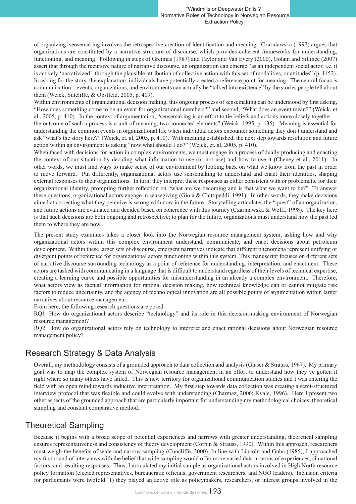of organizing, sensemaking involves the retrospective creation of identification and meaning. Czarniawska (1997) argues that organizations are constituted by a narrative structure of discourse, which provides coherent frameworks for understanding, functioning, and meaning. Following in steps of Greimas (1987) and Taylor and Van Every (2000), Golant and Sillince (2007) assert that through the recursive nature of narrative discourse, an organization can emerge "as an independent social actor, i.e. it is actively 'narrativized', through the plausible attribution of collective action with this set of modalities, or attitudes" (p. 1152). In asking for the story, the explanation, individuals have potentially created a reference point for meaning. The central focus is communication – events, organizations, and environments can actually be "talked into existence" by the stories people tell about them (Weick, Sutcliffe, & Obstfeld, 2005, p. 409).

Within environments of organizational decision making, this ongoing process of sensemaking can be understood by first asking, "How does something come to be an event for organizational members?" and second, "What does an event mean?" (Weick, et al., 2005, p. 410). In the context of argumentation, "sensemaking is an effort to tie beliefs and actions more closely together… the outcome of such a process is a unit of meaning, two connected elements" (Weick, 1995, p. 135). Meaning is essential for understanding the common events in organizational life when individual actors encounter something they don't understand and ask "what's the story here?" (Weick, et. al, 2005, p. 410). With meaning established, the next step towards resolution and future action within an environment is asking "now what should I do?" (Weick, et. al, 2005, p. 410).

When faced with decisions for action in complex environments, we must engage in a process of dually producing and enacting the context of our situation by deciding what information to use (or not use) and how to use it (Cheney et al., 2011). In other words, we must find ways to make sense of our environment by looking back on what we know from the past in order to move forward. Put differently, organizational actors use sensemaking to understand and enact their identities, shaping external responses to their organizations. In turn, they interpret these responses as either consistent with or problematic for their organizational identity, prompting further reflection on "what are we becoming and is that what we want to be?" To answer these questions, organizational actors engage in sensegiving (Gioia & Chittipeddi, 1991). In other words, they make decisions aimed at correcting what they perceive is wrong with now in the future. Storytelling articulates the "quest" of an organization, and future actions are evaluated and decided based on coherence with this journey (Czarniawska & Wolff, 1998). The key here is that such decisions are both ongoing and retrospective; to plan for the future, organizations must understand how the past led them to where they are now.

The present study examines takes a closer look into the Norwegian resource management system, asking how and why organizational actors within this complex environment understand, communicate, and enact decisions about petroleum development. Within these larger sets of discourse, emergent narratives indicate that different phenomena represent unifying or divergent points of reference for organizational actors functioning within this system. This manuscript focuses on different sets of narrative discourse surrounding technology as a point of reference for understanding, interpretation, and enactment. These actors are tasked with communicating in a language that is difficult to understand regardless of their levels of technical expertise, creating a learning curve and possible opportunities for misunderstanding in an already a complex environment. Therefore, what actors view as factual information for rational decision making, how technical knowledge can or cannot mitigate risk factors to reduce uncertainty, and the agency of technological innovation are all possible points of argumentation within larger narratives about resource management.

From here, the following research questions are posed:

RQ1: How do organizational actors describe "technology" and its role in this decision-making environment of Norwegian resource management?

RQ2: How do organizational actors rely on technology to interpret and enact rational decisions about Norwegian resource management policy?

## Research Strategy & Data Analysis

Overall, my methodology consists of a grounded approach to data collection and analysis (Glaser & Strauss, 1967). My primary goal was to map the complex system of Norwegian resource management in an effort to understand how they've gotten it right where so many others have failed. This is new territory for organizational communication studies and I was entering the field with an open mind towards inductive interpretation. My first step towards data collection was creating a semi-structured interview protocol that was flexible and could evolve with understanding (Charmaz, 2006; Kvale, 1996). Here I present two other aspects of the grounded approach that are particularly important for understanding my methodological choices: theoretical sampling and constant comparative method.

## Theoretical Sampling

Because it begins with a broad scope of potential experiences and narrows with greater understanding, theoretical sampling ensures representativeness and consistency of theory development (Corbin & Strauss, 1990). Within this approach, researchers must weigh the benefits of wide and narrow sampling (Cuncliffe, 2000). In line with Lincoln and Guba (1985), I approached my first round of interviews with the belief that wide sampling would offer more varied data in terms of experiences, situational factors, and resulting responses. Thus, I articulated my initial sample as organizational actors involved in High North resource policy formation (elected representatives, bureaucratic officials, government researchers, and NGO leaders). Inclusion criteria for participants were twofold: 1) they played an active role as policymakers, researchers, or interest groups involved in the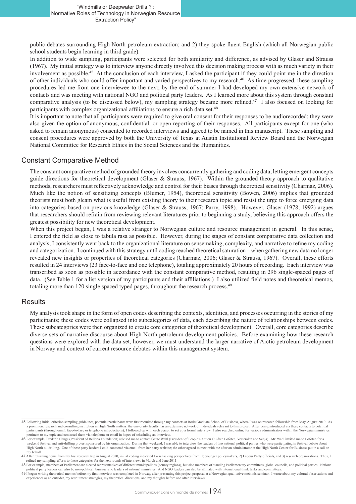public debates surrounding High North petroleum extraction; and 2) they spoke fluent English (which all Norwegian public school students begin learning in third grade).

In addition to wide sampling, participants were selected for both similarity and difference, as advised by Glaser and Strauss (1967). My initial strategy was to interview anyone directly involved this decision making process with as much variety in their involvement as possible.<sup>45</sup> At the conclusion of each interview, I asked the participant if they could point me in the direction of other individuals who could offer important and varied perspectives to my research.<sup>46</sup> As time progressed, these sampling procedures led me from one interviewee to the next; by the end of summer I had developed my own extensive network of contacts and was meeting with national NGO and political party leaders. As I learned more about this system through constant comparative analysis (to be discussed below), my sampling strategy became more refined.<sup>47</sup> I also focused on looking for participants with complex organizational affiliations to ensure a rich data set.<sup>48</sup>

It is important to note that all participants were required to give oral consent for their responses to be audiorecorded; they were also given the option of anonymous, confidential, or open reporting of their responses. All participants except for one (who asked to remain anonymous) consented to recorded interviews and agreed to be named in this manuscript. These sampling and consent procedures were approved by both the University of Texas at Austin Institutional Review Board and the Norwegian National Committee for Research Ethics in the Social Sciences and the Humanities.

#### Constant Comparative Method

The constant comparative method of grounded theory involves concurrently gathering and coding data, letting emergent concepts guide directions for theoretical development (Glaser & Strauss, 1967). Within the grounded theory approach to qualitative methods, researchers must reflectively acknowledge and control for their biases through theoretical sensitivity (Charmaz, 2006). Much like the notion of sensitizing concepts (Blumer, 1954), theoretical sensitivity (Bowen, 2006) implies that grounded theorists must both gleam what is useful from existing theory to their research topic and resist the urge to force emerging data into categories based on previous knowledge (Glaser & Strauss, 1967; Parry, 1998). However, Glaser (1978, 1992) argues that researchers should refrain from reviewing relevant literatures prior to beginning a study, believing this approach offers the greatest possibility for new theoretical development.

When this project began, I was a relative stranger to Norwegian culture and resource management in general. In this sense, I entered the field as close to tabula rasa as possible. However, during the stages of constant comparative data collection and analysis, I consistently went back to the organizational literature on sensemaking, complexity, and narrative to refine my coding and categorization. I continued with this strategy until coding reached theoretical saturation – when gathering new data no longer revealed new insights or properties of theoretical categories (Charmaz, 2006; Glaser & Strauss, 1967). Overall, these efforts resulted in 24 interviews (23 face-to-face and one telephone), totaling approximately 20 hours of recording. Each interview was transcribed as soon as possible in accordance with the constant comparative method, resulting in 296 single-spaced pages of data. (See Table 1 for a list version of my participants and their affiliations.) I also utilized field notes and theoretical memos, totaling more than 120 single spaced typed pages, throughout the research process.<sup>49</sup>

#### **Results**

My analysis took shape in the form of open codes describing the contexts, identities, and processes occurring in the stories of my participants; these codes were collapsed into subcategories of data, each describing the nature of relationships between codes. These subcategories were then organized to create core categories of theoretical development. Overall, core categories describe diverse sets of narrative discourse about High North petroleum development policies. Before examining how these research questions were explored with the data set, however, we must understand the larger narrative of Arctic petroleum development in Norway and context of current resource debates within this management system.

<sup>45</sup> Following initial criterion sampling guidelines, potential participants were first recruited through my contacts at Bodø Graduate School of Business, where I was on research fellowship from May-August 2010. As a prominent research and consulting institution in High North matters, the university faculty has an extensive network of individuals relevant to this project. After being introduced via these contacts to potential participants (through email, face-to-face or telephone introductions), I followed up with each person to set up a formal interview. I also searched online for various administrators within the Norwegian ministries pertinent to my topic and contacted them via telephone or email in hopes of scheduling an interview

<sup>46</sup> For example, Frederic Hauge (President of Bellona Foundation) advised me to contact Gaute Wahl (President of People's Action Oil-free Lofoten, Vesterålen and Senja). Mr. Wahl invited me to Lofoten for a weekend festival and anti-drilling protest sponsored by his organization. During that weekend, I was able to interview the leaders of two national political parties who were participating in festival debate about High North oil drilling. One of these party leaders I cold-contacted via email from her party website; the other agreed to meet with me after an administrator at the High North Center for Business put in a call on my behalf.

<sup>47</sup> After returning home from my first research trip in August 2010, initial coding indicated I was lacking perspectives from: 1) younger policymakers, 2) Labour Party officials, and 3) research organizations. Thus, I refined my sampling efforts to these categories for the next rounds of interviews in March and June 2011.

<sup>48</sup> For example, members of Parliament are elected representatives of different municipalities (county regions), but also members of standing Parliamentary committees, global councils, and political parties. National politi

<sup>49</sup> I began writing theoretical memos before my first interview was completed in Norway, after presenting this project proposal at a Norwegian qualitative methods seminar. I wrote about my cultural observations and experiences as an outsider, my recruitment strategies, my theoretical directions, and my thoughts before and after interviews.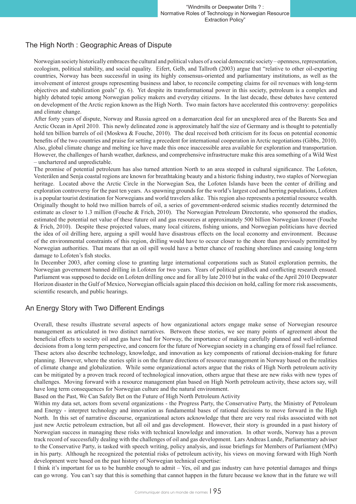#### The High North : Geographic Areas of Dispute

Norwegian society historically embraces the cultural and political values of a social democratic society – openness, representation, ecologism, political stability, and social equality. Eifert, Gelb, and Tallroth (2003) argue that "relative to other oil-exporting countries, Norway has been successful in using its highly consensus-oriented and parliamentary institutions, as well as the involvement of interest groups representing business and labor, to reconcile competing claims for oil revenues with long-term objectives and stabilization goals" (p. 6). Yet despite its transformational power in this society, petroleum is a complex and highly debated topic among Norwegian policy makers and everyday citizens. In the last decade, these debates have centered on development of the Arctic region known as the High North. Two main factors have accelerated this controversy: geopolitics and climate change.

After forty years of dispute, Norway and Russia agreed on a demarcation deal for an unexplored area of the Barents Sea and Arctic Ocean in April 2010. This newly delineated zone is approximately half the size of Germany and is thought to potentially hold ten billion barrels of oil (Moskwa & Fouche, 2010). The deal received both criticism for its focus on potential economic benefits of the two countries and praise for setting a precedent for international cooperation in Arctic negotiations (Gibbs, 2010). Also, global climate change and melting ice have made this once inaccessible area available for exploration and transportation. However, the challenges of harsh weather, darkness, and comprehensive infrastructure make this area something of a Wild West – unchartered and unpredictable.

The promise of potential petroleum has also turned attention North to an area steeped in cultural significance. The Lofoten, Vesterålen and Senja coastal regions are known for breathtaking beauty and a historic fishing industry, two staples of Norwegian heritage. Located above the Arctic Circle in the Norwegian Sea, the Lofoten Islands have been the center of drilling and exploration controversy for the past ten years. As spawning grounds for the world's largest cod and herring populations, Lofoten is a popular tourist destination for Norwegians and world travelers alike. This region also represents a potential resource wealth. Originally thought to hold two million barrels of oil, a series of government-ordered seismic studies recently determined the estimate as closer to 1.3 million (Fouche & Frich, 2010). The Norwegian Petroleum Directorate, who sponsored the studies, estimated the potential net value of these future oil and gas resources at approximately 500 billion Norwegian kroner (Fouche & Frich, 2010). Despite these projected values, many local citizens, fishing unions, and Norwegian politicians have decried the idea of oil drilling here, arguing a spill would have disastrous effects on the local economy and environment. Because of the environmental constraints of this region, drilling would have to occur closer to the shore than previously permitted by Norwegian authorities. That means that an oil spill would have a better chance of reaching shorelines and causing long-term damage to Lofoten's fish stocks.

In December 2003, after coming close to granting large international corporations such as Statoil exploration permits, the Norwegian government banned drilling in Lofoten for two years. Years of political gridlock and conflicting research ensued. Parliament was supposed to decide on Lofoten drilling once and for all by late 2010 but in the wake of the April 2010 Deepwater Horizon disaster in the Gulf of Mexico, Norwegian officials again placed this decision on hold, calling for more risk assessments, scientific research, and public hearings.

#### An Energy Story with Two Different Endings

Overall, these results illustrate several aspects of how organizational actors engage make sense of Norwegian resource management as articulated in two distinct narratives. Between these stories, we see many points of agreement about the beneficial effects to society oil and gas have had for Norway, the importance of making carefully planned and well-informed decisions from a long term perspective, and concern for the future of Norwegian society in a changing era of fossil fuel reliance. These actors also describe technology, knowledge, and innovation as key components of rational decision-making for future planning. However, where the stories split is on the future directions of resource management in Norway based on the realities of climate change and globalization. While some organizational actors argue that the risks of High North petroleum activity can be mitigated by a proven track record of technological innovation, others argue that these are new risks with new types of challenges. Moving forward with a resource management plan based on High North petroleum activity, these actors say, will have long term consequences for Norwegian culture and the natural environment.

Based on the Past, We Can Safely Bet on the Future of High North Petroleum Activity

Within my data set, actors from several organizations - the Progress Party, the Conservative Party, the Ministry of Petroleum and Energy - interpret technology and innovation as fundamental bases of rational decisions to move forward in the High North. In this set of narrative discourse, organizational actors acknowledge that there are very real risks associated with not just new Arctic petroleum extraction, but all oil and gas development. However, their story is grounded in a past history of Norwegian success in managing these risks with technical knowledge and innovation. In other words, Norway has a proven track record of successfully dealing with the challenges of oil and gas development. Lars Andreas Lunde, Parliamentary adviser to the Conservative Party, is tasked with speech writing, policy analysis, and issue briefings for Members of Parliament (MPs) in his party. Although he recognized the potential risks of petroleum activity, his views on moving forward with High North development were based on the past history of Norwegian technical expertise:

I think it's important for us to be humble enough to admit – Yes, oil and gas industry can have potential damages and things can go wrong. You can't say that this is something that cannot happen in the future because we know that in the future we will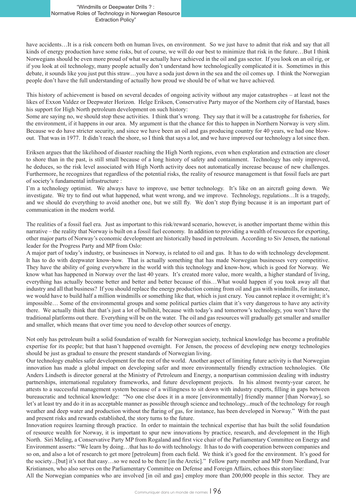have accidents...It is a risk concern both on human lives, on environment. So we just have to admit that risk and say that all kinds of energy production have some risks, but of course, we will do our best to minimize that risk in the future…But I think Norwegians should be even more proud of what we actually have achieved in the oil and gas sector. If you look on an oil rig, or if you look at oil technology, many people actually don't understand how technologically complicated it is. Sometimes in this debate, it sounds like you just put this straw…you have a soda just down in the sea and the oil comes up. I think the Norwegian people don't have the full understanding of actually how proud we should be of what we have achieved.

This history of achievement is based on several decades of ongoing activity without any major catastrophes – at least not the likes of Exxon Valdez or Deepwater Horizon. Helge Eriksen, Conservative Party mayor of the Northern city of Harstad, bases his support for High North petroleum development on such history:

Some are saying no, we should stop these activities. I think that's wrong. They say that it will be a catastrophe for fisheries, for the environment, if it happens in our area. My argument is that the chance for this to happen in Northern Norway is very slim. Because we do have stricter security, and since we have been an oil and gas producing country for 40 years, we had one blowout. That was in 1977. It didn't reach the shore, so I think that says a lot, and we have improved our technology a lot since then.

Eriksen argues that the likelihood of disaster reaching the High North regions, even when exploration and extraction are closer to shore than in the past, is still small because of a long history of safety and containment. Technology has only improved, he deduces, so the risk level associated with High North activity does not automatically increase because of new challenges. Furthermore, he recognizes that regardless of the potential risks, the reality of resource management is that fossil fuels are part of society's fundamental infrastructure :

I'm a technology optimist. We always have to improve, use better technology. It's like on an aircraft going down. We investigate. We try to find out what happened, what went wrong, and we improve. Technology, regulations…It is a tragedy, and we should do everything to avoid another one, but we still fly. We don't stop flying because it is an important part of communication in the modern world.

The realities of a fossil fuel era. Just as important to this risk/reward scenario, however, is another important theme within this narrative – the reality that Norway is built on a fossil fuel economy. In addition to providing a wealth of resources for exporting, other major parts of Norway's economic development are historically based in petroleum. According to Siv Jensen, the national leader for the Progress Party and MP from Oslo:

A major part of today's industry, or businesses in Norway, is related to oil and gas. It has to do with technology development. It has to do with deepwater know-how. That is actually something that has made Norwegian businesses very competitive. They have the ability of going everywhere in the world with this technology and know-how, which is good for Norway. We know what has happened in Norway over the last 40 years. It's created more value, more wealth, a higher standard of living, everything has actually become better and better and better because of this…What would happen if you took away all that industry and all that business? If you should replace the energy production coming from oil and gas with windmills, for instance, we would have to build half a million windmills or something like that, which is just crazy. You cannot replace it overnight; it's impossible… Some of the environmental groups and some political parties claim that it's very dangerous to have any activity there. We actually think that that's just a lot of bullshit, because with today's and tomorrow's technology, you won't have the traditional platforms out there. Everything will be on the water. The oil and gas resources will gradually get smaller and smaller and smaller, which means that over time you need to develop other sources of energy.

Not only has petroleum built a solid foundation of wealth for Norwegian society, technical knowledge has become a profitable expertise for its people; but that hasn't happened overnight. For Jensen, the process of developing new energy technologies should be just as gradual to ensure the present standards of Norwegian living.

Our technology enables safer development for the rest of the world. Another aspect of limiting future activity is that Norwegian innovation has made a global impact on developing safer and more environmentally friendly extraction technologies. Ole Anders Lindseth is director general at the Ministry of Petroleum and Energy, a nonpartisan commission dealing with industry partnerships, international regulatory frameworks, and future development projects. In his almost twenty-year career, he attests to a successful management system because of a willingness to sit down with industry experts, filling in gaps between bureaucratic and technical knowledge: "No one else does it in a more [environmentally] friendly manner [than Norway], so let's at least try and do it in as acceptable manner as possible through science and technology...much of the technology for rough weather and deep water and production without the flaring of gas, for instance, has been developed in Norway." With the past and present risks and rewards established, the story turns to the future.

Innovation requires learning through practice. In order to maintain the technical expertise that has built the solid foundation of resource wealth for Norway, it is important to spur new innovations by practice, research, and development in the High North. Siri Meling, a Conservative Party MP from Rogaland and first vice chair of the Parliamentary Committee on Energy and Environment asserts: "We learn by doing…that has to do with technology. It has to do with cooperation between companies and so on, and also a lot of research to get more [petroleum] from each field. We think it's good for the environment. It's good for the society...[but] it's not that easy…so we need to be there [in the Arctic]." Fellow party member and MP from Nordland, Ivar Kristiansen, who also serves on the Parliamentary Committee on Defense and Foreign Affairs, echoes this storyline:

All the Norwegian companies who are involved [in oil and gas] employ more than 200,000 people in this sector. They are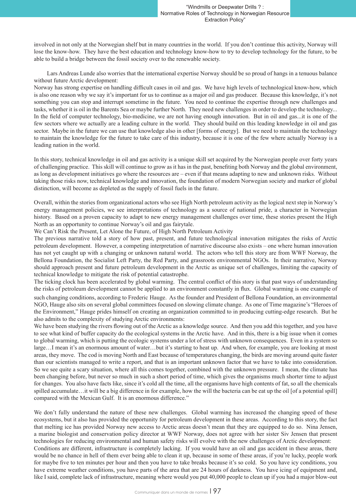involved in not only at the Norwegian shelf but in many countries in the world. If you don't continue this activity, Norway will lose the know-how. They have the best education and technology know-how to try to develop technology for the future, to be able to build a bridge between the fossil society over to the renewable society.

Lars Andreas Lunde also worries that the international expertise Norway should be so proud of hangs in a tenuous balance without future Arctic development:

Norway has strong expertise on handling difficult cases in oil and gas. We have high levels of technological know-how, which is also one reason why we say it's important for us to continue as a major oil and gas producer. Because this knowledge, it's not something you can stop and interrupt sometime in the future. You need to continue the expertise through new challenges and tasks, whether it is oil in the Barents Sea or maybe further North. They need new challenges in order to develop the technology... In the field of computer technology, bio-medicine, we are not having enough innovation. But in oil and gas...it is one of the few sectors where we actually are a leading culture in the world. They should build on this leading knowledge in oil and gas sector. Maybe in the future we can use that knowledge also in other [forms of energy]. But we need to maintain the technology to maintain the knowledge for the future to take care of this industry, because it is one of the few where actually Norway is a leading nation in the world.

In this story, technical knowledge in oil and gas activity is a unique skill set acquired by the Norwegian people over forty years of challenging practice. This skill will continue to grow as it has in the past, benefiting both Norway and the global environment, as long as development initiatives go where the resources are – even if that means adapting to new and unknown risks. Without taking those risks now, technical knowledge and innovation, the foundation of modern Norwegian society and marker of global distinction, will become as depleted as the supply of fossil fuels in the future.

Overall, within the stories from organizational actors who see High North petroleum activity as the logical next step in Norway's energy management policies, we see interpretations of technology as a source of national pride, a character in Norwegian history. Based on a proven capacity to adapt to new energy management challenges over time, these stories present the High North as an opportunity to continue Norway's oil and gas fairytale.

We Can't Risk the Present, Let Alone the Future, of High North Petroleum Activity

The previous narrative told a story of how past, present, and future technological innovation mitigates the risks of Arctic petroleum development. However, a competing interpretation of narrative discourse also exists – one where human innovation has not yet caught up with a changing or unknown natural world. The actors who tell this story are from WWF Norway, the Bellona Foundation, the Socialist Left Party, the Red Party, and grassroots environmental NGOs. In their narrative, Norway should approach present and future petroleum development in the Arctic as unique set of challenges, limiting the capacity of technical knowledge to mitigate the risk of potential catastrophe.

The ticking clock has been accelerated by global warming. The central conflict of this story is that past ways of understanding the risks of petroleum development cannot be applied to an environment constantly in flux. Global warming is one example of such changing conditions, according to Frederic Hauge. As the founder and President of Bellona Foundation, an environmental NGO, Hauge also sits on several global committees focused on slowing climate change. As one of Time magazine's "Heroes of the Environment," Hauge prides himself on creating an organization committed to in producing cutting-edge research. But he also admits to the complexity of studying Arctic environments:

We have been studying the rivers flowing out of the Arctic as a knowledge source. And then you add this together, and you have to see what kind of buffer capacity do the ecological systems in the Arctic have. And in this, there is a big issue when it comes to global warming, which is putting the ecologic systems under a lot of stress with unknown consequences. Even in a system so large…I mean it's an enormous amount of water…but it's starting to heat up. And when, for example, you are looking at most areas, they move. The cod is moving North and East because of temperatures changing, the birds are moving around quite faster than our scientists managed to write a report, and that is an important unknown factor that we have to take into consideration. So we see quite a scary situation, where all this comes together, combined with the unknown pressure. I mean, the climate has been changing before, but never so much in such a short period of time, which gives the organisms much shorter time to adjust for changes. You also have facts like, since it's cold all the time, all the organisms have high contents of fat, so all the chemicals spilled accumulate... it will be a big difference in for example, how the will the bacteria can be eat up the oil [of a potential spill] compared with the Mexican Gulf. It is an enormous difference."

We don't fully understand the nature of these new challenges. Global warming has increased the changing speed of these ecosystems, but it also has provided the opportunity for petroleum development in these areas. According to this story, the fact that melting ice has provided Norway new access to Arctic areas doesn't mean that they are equipped to do so. Nina Jensen, a marine biologist and conservation policy director at WWF Norway, does not agree with her sister Siv Jensen that present technologies for reducing environmental and human safety risks will evolve with the new challenges of Arctic development: Conditions are different, infrastructure is completely lacking. If you would have an oil and gas accident in these areas, there would be no chance in hell of them ever being able to clean it up, because in some of these areas, if you're lucky, people work

for maybe five to ten minutes per hour and then you have to take breaks because it's so cold. So you have icy conditions, you have extreme weather conditions, you have parts of the area that are 24 hours of darkness. You have icing of equipment and, like I said, complete lack of infrastructure, meaning where would you put 40,000 people to clean up if you had a major blow-out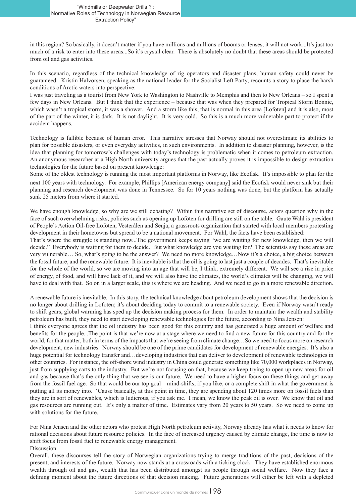in this region? So basically, it doesn't matter if you have millions and millions of booms or lenses, it will not work...It's just too much of a risk to enter into these areas...So it's crystal clear. There is absolutely no doubt that these areas should be protected from oil and gas activities.

In this scenario, regardless of the technical knowledge of rig operators and disaster plans, human safety could never be guaranteed. Kristin Halvorsen, speaking as the national leader for the Socialist Left Party, recounts a story to place the harsh conditions of Arctic waters into perspective:

I was just traveling as a tourist from New York to Washington to Nashville to Memphis and then to New Orleans – so I spent a few days in New Orleans. But I think that the experience – because that was when they prepared for Tropical Storm Bonnie, which wasn't a tropical storm, it was a shower. And a storm like this, that is normal in this area [Lofoten] and it is also, most of the part of the winter, it is dark. It is not daylight. It is very cold. So this is a much more vulnerable part to protect if the accident happens.

Technology is fallible because of human error. This narrative stresses that Norway should not overestimate its abilities to plan for possible disasters, or even everyday activities, in such environments. In addition to disaster planning, however, is the idea that planning for tomorrow's challenges with today's technology is problematic when it comes to petroleum extraction. An anonymous researcher at a High North university argues that the past actually proves it is impossible to design extraction technologies for the future based on present knowledge:

Some of the oldest technology is running the most important platforms in Norway, like Ecofisk. It's impossible to plan for the next 100 years with technology. For example, Phillips [American energy company] said the Ecofisk would never sink but their planning and research development was done in Tennessee. So for 10 years nothing was done, but the platform has actually sunk 25 meters from where it started.

We have enough knowledge, so why are we still debating? Within this narrative set of discourse, actors question why in the face of such overwhelming risks, policies such as opening up Lofoten for drilling are still on the table. Gaute Wahl is president of People's Action Oil-free Lofoten, Vesterålen and Senja, a grassroots organization that started with local members protesting development in their hometowns but spread to be a national movement. For Wahl, the facts have been established:

That's where the struggle is standing now...The government keeps saying "we are waiting for new knowledge, then we will decide." Everybody is waiting for them to decide. But what knowledge are you waiting for? The scientists say these areas are very vulnerable… So, what's going to be the answer? We need no more knowledge…Now it's a choice, a big choice between the fossil future, and the renewable future. It is inevitable is that the oil is going to last just a couple of decades. That's inevitable for the whole of the world, so we are moving into an age that will be, I think, extremely different. We will see a rise in price of energy, of food, and will have lack of it, and we will also have the climates, the world's climates will be changing, we will have to deal with that. So on in a larger scale, this is where we are heading. And we need to go in a more renewable direction.

A renewable future is inevitable. In this story, the technical knowledge about petroleum development shows that the decision is no longer about drilling in Lofoten; it's about deciding today to commit to a renewable society. Even if Norway wasn't ready to shift gears, global warming has sped up the decision making process for them. In order to maintain the wealth and stability petroleum has built, they need to start developing renewable technologies for the future, according to Nina Jensen:

I think everyone agrees that the oil industry has been good for this country and has generated a huge amount of welfare and benefits for the people...The point is that we're now at a stage where we need to find a new future for this country and for the world, for that matter, both in terms of the impacts that we're seeing from climate change…So we need to focus more on research development, new industries. Norway should be one of the prime candidates for development of renewable energies. It's also a huge potential for technology transfer and…developing industries that can deliver to development of renewable technologies in other countries. For instance, the off-shore wind industry in China could generate something like 70,000 workplaces in Norway, just from supplying carts to the industry. But we're not focusing on that, because we keep trying to open up new areas for oil and gas because that's the only thing that we see is our future. We need to have a higher focus on these things and get away from the fossil fuel age. So that would be our top goal – mind-shifts, if you like, or a complete shift in what the government is putting all its money into. 'Cause basically, at this point in time, they are spending about 120 times more on fossil fuels than they are in sort of renewables, which is ludicrous, if you ask me. I mean, we know the peak oil is over. We know that oil and gas resources are running out. It's only a matter of time. Estimates vary from 20 years to 50 years. So we need to come up with solutions for the future.

For Nina Jensen and the other actors who protest High North petroleum activity, Norway already has what it needs to know for rational decisions about future resource policies. In the face of increased urgency caused by climate change, the time is now to shift focus from fossil fuel to renewable energy management. Discussion

Overall, these discourses tell the story of Norwegian organizations trying to merge traditions of the past, decisions of the present, and interests of the future. Norway now stands at a crossroads with a ticking clock. They have established enormous wealth through oil and gas, wealth that has been distributed amongst its people through social welfare. Now they face a defining moment about the future directions of that decision making. Future generations will either be left with a depleted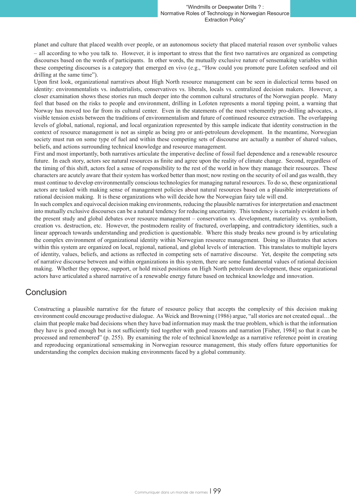planet and culture that placed wealth over people, or an autonomous society that placed material reason over symbolic values – all according to who you talk to. However, it is important to stress that the first two narratives are organized as competing discourses based on the words of participants. In other words, the mutually exclusive nature of sensemaking variables within these competing discourses is a category that emerged en vivo (e.g., "How could you promote pure Lofoten seafood and oil drilling at the same time").

Upon first look, organizational narratives about High North resource management can be seen in dialectical terms based on identity: environmentalists vs. industrialists, conservatives vs. liberals, locals vs. centralized decision makers. However, a closer examination shows these stories run much deeper into the common cultural structures of the Norwegian people. Many feel that based on the risks to people and environment, drilling in Lofoten represents a moral tipping point, a warning that Norway has moved too far from its cultural center. Even in the statements of the most vehemently pro-drilling advocates, a visible tension exists between the traditions of environmentalism and future of continued resource extraction. The overlapping levels of global, national, regional, and local organization represented by this sample indicate that identity construction in the context of resource management is not as simple as being pro or anti-petroleum development. In the meantime, Norwegian society must run on some type of fuel and within these competing sets of discourse are actually a number of shared values, beliefs, and actions surrounding technical knowledge and resource management.

First and most importantly, both narratives articulate the imperative decline of fossil fuel dependence and a renewable resource future. In each story, actors see natural resources as finite and agree upon the reality of climate change. Second, regardless of the timing of this shift, actors feel a sense of responsibility to the rest of the world in how they manage their resources. These characters are acutely aware that their system has worked better than most; now resting on the security of oil and gas wealth, they must continue to develop environmentally conscious technologies for managing natural resources. To do so, these organizational actors are tasked with making sense of management policies about natural resources based on a plausible interpretations of rational decision making. It is these organizations who will decide how the Norwegian fairy tale will end.

In such complex and equivocal decision making environments, reducing the plausible narratives for interpretation and enactment into mutually exclusive discourses can be a natural tendency for reducing uncertainty. This tendency is certainly evident in both the present study and global debates over resource management – conservation vs. development, materiality vs. symbolism, creation vs. destruction, etc. However, the postmodern reality of fractured, overlapping, and contradictory identities, such a linear approach towards understanding and prediction is questionable. Where this study breaks new ground is by articulating the complex environment of organizational identity within Norwegian resource management. Doing so illustrates that actors within this system are organized on local, regional, national, and global levels of interaction. This translates to multiple layers of identity, values, beliefs, and actions as reflected in competing sets of narrative discourse. Yet, despite the competing sets of narrative discourse between and within organizations in this system, there are some fundamental values of rational decision making. Whether they oppose, support, or hold mixed positions on High North petroleum development, these organizational actors have articulated a shared narrative of a renewable energy future based on technical knowledge and innovation.

#### Conclusion

Constructing a plausible narrative for the future of resource policy that accepts the complexity of this decision making environment could encourage productive dialogue. As Weick and Browning (1986) argue, "all stories are not created equal…the claim that people make bad decisions when they have bad information may mask the true problem, which is that the information they have is good enough but is not sufficiently tied together with good reasons and narration [Fisher, 1984] so that it can be processed and remembered" (p. 255). By examining the role of technical knowledge as a narrative reference point in creating and reproducing organizational sensemaking in Norwegian resource management, this study offers future opportunities for understanding the complex decision making environments faced by a global community.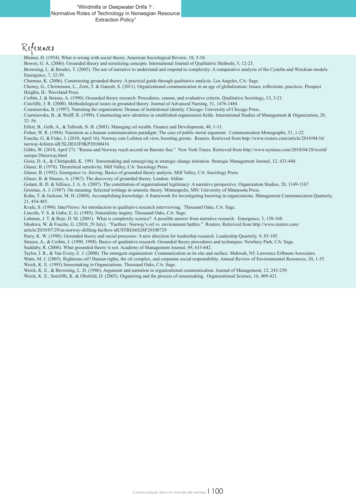"Windmills or Deepwater Drills ? : Normative Roles of Technology in Norwegian Resource Extraction Policy"

# References

- . Blumer, H. (1954). What is wrong with social theory. American Sociological Review, 18, 3-10.
- . Bowen, G. A. (2006). Grounded theory and sensitizing concepts. International Journal of Qualitative Methods, 5, 12-23.
- . Browning, L. & Boudes, T. (2005). The use of narrative to understand and respond to complexity: A comparative analysis of the Cynefin and Weickian models. Emergence, 7, 32-39.
- . Charmaz, K. (2006). Constructing grounded theory: A practical guide through qualitative analysis. Los Angeles, CA: Sage.
- . Cheney, G., Christensen, L., Zorn, T. & Ganesh, S. (2011). Organizational communication in an age of globalization: Issues, reflections, practices. Prospect Heights, IL: Waveland Press.
- . Corbin, J. & Strauss, A. (1990). Grounded theory research: Procedures, canons, and evaluative criteria. Qualitative Sociology, 13, 3-21.
- . Cutcliffe, J. R. (2000). Methodological issues in grounded theory. Journal of Advanced Nursing, 31, 1476-1484.
- . Czarniawska, B. (1997). Narrating the organization: Dramas of institutional identity. Chicago: University of Chicago Press.
- . Czarniawska, B., & Wolff, R. (1998). Constructing new identities in established organization fields. International Studies of Management & Organization, 28, 32–56.
- . Eifert, B., Gelb, A., & Tallroth, N. B. (2003). Managing oil wealth. Finance and Development, 40, 1-11.
- . Fisher, W. R. (1984). Narration as a human communication paradigm: The case of public moral argument. Communication Monographs, 51, 1-22.
- . Fouche, G. & Fiske, J. (2010, April 16). Norway cuts Lofoten oil view, boosting greens. Reuters. Retrieved from http://www.reuters.com/article/2010/04/16/ norway-lofoten-idUSLDE63F0KP20100416
- . Gibbs, W. (2010, April 27). "Russia and Norway reach accord on Barents Sea." New York Times. Retrieved from http://www.nytimes.com/2010/04/28/world/ europe/28norway.html
- . Gioia, D. A., & Chittipeddi, K. 1991. Sensemaking and sensegiving in strategic change initiation. Strategic Management Journal, 12, 433-448.
- . Glaser, B. (1978). Theoretical sensitivity. Mill Valley, CA: Sociology Press.
- . Glaser, B. (1992). Emergence vs. forcing: Basics of grounded theory analysis. Mill Valley, CA: Sociology Press.
- . Glaser, B. & Strauss, A. (1967). The discovery of grounded theory. London: Aldine
- . Golant, B. D. & Sillince, J. A. A. (2007). The constitution of organizational legitimacy: A narrative perspective. Organization Studies, 28, 1149-1167.
- . Greimas, A. J. (1987). On meaning: Selected writings in semiotic theory. Minneapolis, MN: University of Minnesota Press.
- . Kuhn, T. & Jackson, M. H. (2008). Accomplishing knowledge: A framework for investigating knowing in organizations. Management Communication Quarterly, 21, 454-485.
- . Kvale, S. (1996). InterViews: An introduction to qualitative research interviewing. Thousand Oaks, CA: Sage.
- . Lincoln, Y. S. & Guba, E. G. (1985). Naturalistic inquiry. Thousand Oaks, CA: Sage.
- . Luhman, J. T. & Boje, D. M. (2001). What is complexity science? A possible answer from narrative research. Emergence, 3, 158-168.
- . Moskwa, W. & Fouche, G. (2010, 29 July). "Factbox: Norway's oil vs. environment battles." Reuters. Retreived from http://www.reuters.com/ article/2010/07/29/us-norway-drilling-factbox-idUSTRE66S28F20100729
- . Parry, K. W. (1998). Grounded theory and social processes: A new direction for leadership research. Leadership Quarterly, 9, 85-105.
- . Strauss, A., & Corbin, J. (1990, 1998). Basics of qualitative research: Grounded theory procedures and techniques. Newbury Park, CA: Sage.
- . Suddaby, R. (2006). What grounded theory is not. Academy of Management Journal, 49, 633-642.
- Taylor, J. R., & Van Every, E. J. (2000). The emergent organization: Communication as its site and surface. Mahwah, NJ: Lawrence Erlbaum Associates.
- . Watts, M. J. (2005). Righteous oil? Human rights, the oil complex, and corporate social responsibility. Annual Review of Environmental Resources, 30, 1-35. . Weick, K. E. (1995) Sensemaking in Organizations. Thousand Oaks, CA: Sage.
- . Weick, K. E., & Browning, L. D. (1986). Argument and narration in organizational communication. Journal of Management, 12, 243-259.
- . Weick, K. E., Sutcliffe, K. & Obstfeld, D. (2005). Organizing and the process of sensemaking. Organizational Science, 16, 409-421.